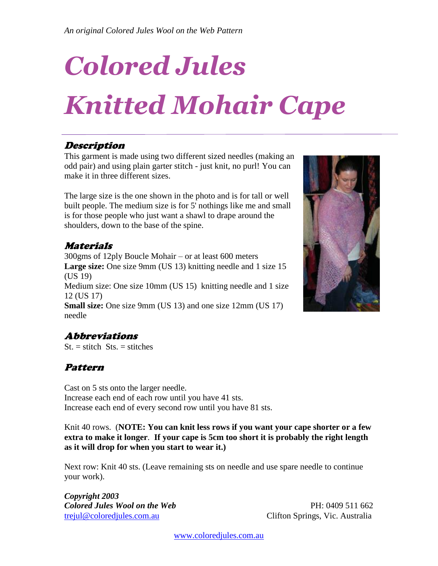# *Colored Jules*

## *Knitted Mohair Cape*

#### Description

This garment is made using two different sized needles (making an odd pair) and using plain garter stitch - just knit, no purl! You can make it in three different sizes.

The large size is the one shown in the photo and is for tall or well built people. The medium size is for 5' nothings like me and small is for those people who just want a shawl to drape around the shoulders, down to the base of the spine.

#### Materials

300gms of 12ply Boucle Mohair – or at least 600 meters **Large size:** One size 9mm (US 13) knitting needle and 1 size 15 (US 19) Medium size: One size 10mm (US 15) knitting needle and 1 size 12 (US 17)

**Small size:** One size 9mm (US 13) and one size 12mm (US 17) needle



## Abbreviations

 $St. = stitch Sts. = stitches$ 

### Pattern

Cast on 5 sts onto the larger needle. Increase each end of each row until you have 41 sts. Increase each end of every second row until you have 81 sts.

Knit 40 rows. (**NOTE: You can knit less rows if you want your cape shorter or a few extra to make it longer**. **If your cape is 5cm too short it is probably the right length as it will drop for when you start to wear it.)**

Next row: Knit 40 sts. (Leave remaining sts on needle and use spare needle to continue your work).

*Copyright 2003 Colored Jules Wool on the Web* PH: 0409 511 662 [trejul@coloredjules.com.au](mailto:trejul@coloredjules.com.au) Clifton Springs, Vic. Australia